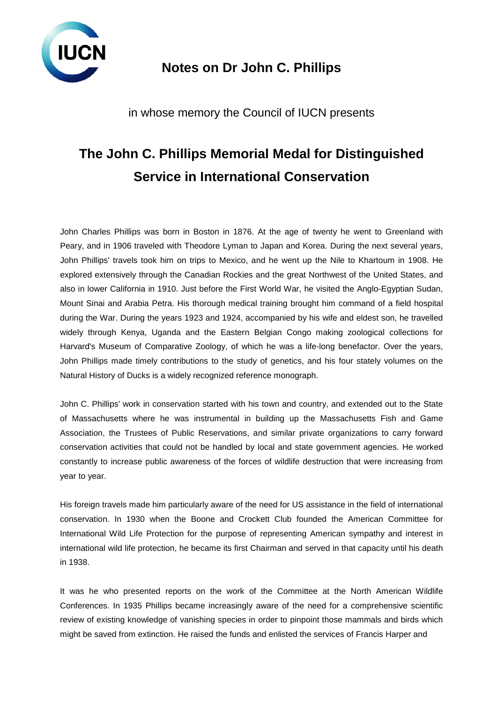

## **Notes on Dr John C. Phillips**

in whose memory the Council of IUCN presents

## **The John C. Phillips Memorial Medal for Distinguished Service in International Conservation**

John Charles Phillips was born in Boston in 1876. At the age of twenty he went to Greenland with Peary, and in 1906 traveled with Theodore Lyman to Japan and Korea. During the next several years, John Phillips' travels took him on trips to Mexico, and he went up the Nile to Khartoum in 1908. He explored extensively through the Canadian Rockies and the great Northwest of the United States, and also in lower California in 1910. Just before the First World War, he visited the Anglo-Egyptian Sudan, Mount Sinai and Arabia Petra. His thorough medical training brought him command of a field hospital during the War. During the years 1923 and 1924, accompanied by his wife and eldest son, he travelled widely through Kenya, Uganda and the Eastern Belgian Congo making zoological collections for Harvard's Museum of Comparative Zoology, of which he was a life-long benefactor. Over the years, John Phillips made timely contributions to the study of genetics, and his four stately volumes on the Natural History of Ducks is a widely recognized reference monograph.

John C. Phillips' work in conservation started with his town and country, and extended out to the State of Massachusetts where he was instrumental in building up the Massachusetts Fish and Game Association, the Trustees of Public Reservations, and similar private organizations to carry forward conservation activities that could not be handled by local and state government agencies. He worked constantly to increase public awareness of the forces of wildlife destruction that were increasing from year to year.

His foreign travels made him particularly aware of the need for US assistance in the field of international conservation. In 1930 when the Boone and Crockett Club founded the American Committee for International Wild Life Protection for the purpose of representing American sympathy and interest in international wild life protection, he became its first Chairman and served in that capacity until his death in 1938.

It was he who presented reports on the work of the Committee at the North American Wildlife Conferences. In 1935 Phillips became increasingly aware of the need for a comprehensive scientific review of existing knowledge of vanishing species in order to pinpoint those mammals and birds which might be saved from extinction. He raised the funds and enlisted the services of Francis Harper and